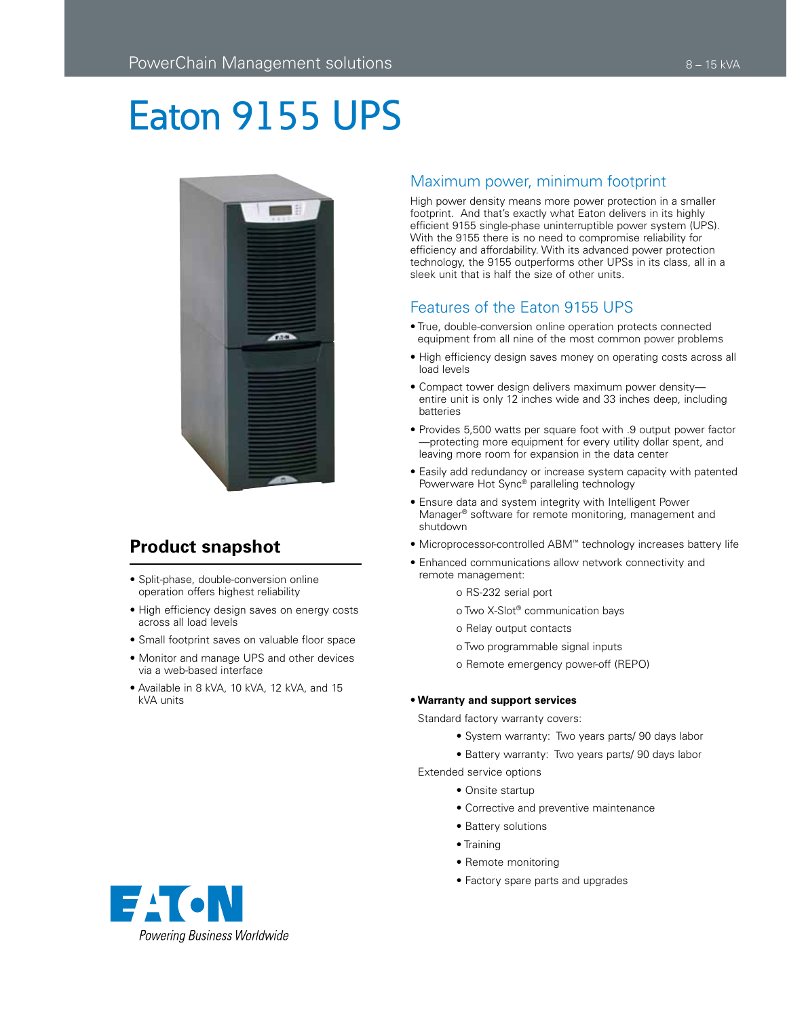# Eaton 9155 UPS



## **Product snapshot**

- Split-phase, double-conversion online operation offers highest reliability
- High efficiency design saves on energy costs across all load levels
- Small footprint saves on valuable floor space
- Monitor and manage UPS and other devices via a web-based interface
- Available in 8 kVA, 10 kVA, 12 kVA, and 15 kVA units

### Maximum power, minimum footprint

High power density means more power protection in a smaller footprint. And that's exactly what Eaton delivers in its highly efficient 9155 single-phase uninterruptible power system (UPS). With the 9155 there is no need to compromise reliability for efficiency and affordability. With its advanced power protection technology, the 9155 outperforms other UPSs in its class, all in a sleek unit that is half the size of other units.

## Features of the Eaton 9155 UPS

- True, double-conversion online operation protects connected equipment from all nine of the most common power problems
- High efficiency design saves money on operating costs across all load levels
- Compact tower design delivers maximum power density entire unit is only 12 inches wide and 33 inches deep, including batteries
- Provides 5,500 watts per square foot with .9 output power factor —protecting more equipment for every utility dollar spent, and leaving more room for expansion in the data center
- Easily add redundancy or increase system capacity with patented Powerware Hot Sync® paralleling technology
- Ensure data and system integrity with Intelligent Power Manager® software for remote monitoring, management and shutdown
- Microprocessor-controlled ABM™ technology increases battery life
- Enhanced communications allow network connectivity and remote management:
	- o RS-232 serial port
	- o Two X-Slot® communication bays
	- o Relay output contacts
	- o Two programmable signal inputs
	- o Remote emergency power-off (REPO)

#### • **Warranty and support services**

Standard factory warranty covers:

- System warranty: Two years parts/ 90 days labor
- Battery warranty: Two years parts/ 90 days labor

Extended service options

- Onsite startup
- Corrective and preventive maintenance
- Battery solutions
- Training
- Remote monitoring
- Factory spare parts and upgrades